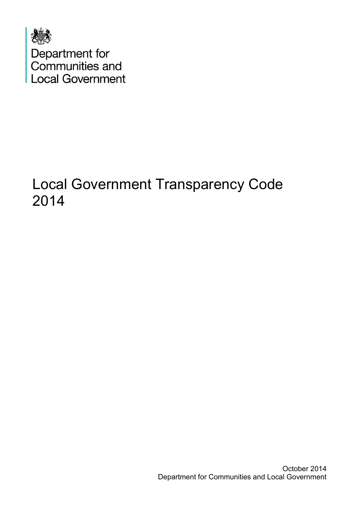

# Local Government Transparency Code 2014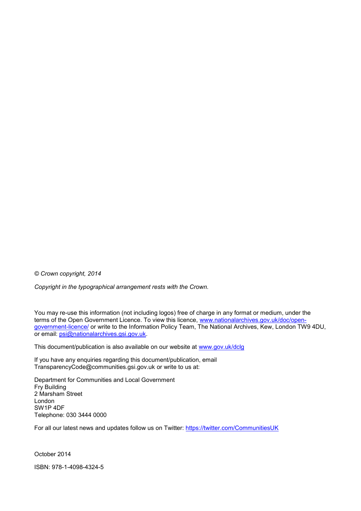*© Crown copyright, 2014*

*Copyright in the typographical arrangement rests with the Crown.*

You may re-use this information (not including logos) free of charge in any format or medium, under the terms of the Open Government Licence. To view this licence, [www.nationalarchives.gov.uk/doc/open](http://www.nationalarchives.gov.uk/doc/open-government-licence/)[government-licence/](http://www.nationalarchives.gov.uk/doc/open-government-licence/) or write to the Information Policy Team, The National Archives, Kew, London TW9 4DU, or email: [psi@nationalarchives.gsi.gov.uk.](mailto:psi@nationalarchives.gsi.gov.uk)

This document/publication is also available on our website at [www.gov.uk/dclg](http://www.gov.uk/dclg)

If you have any enquiries regarding this document/publication, email TransparencyCode@communities.gsi.gov.uk or write to us at:

Department for Communities and Local Government Fry Building 2 Marsham Street London SW1P 4DF Telephone: 030 3444 0000

For all our latest news and updates follow us on Twitter:<https://twitter.com/CommunitiesUK>

October 2014 ISBN: 978-1-4098-4324-5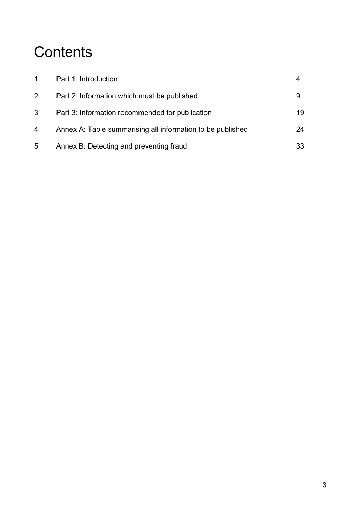# **Contents**

| $\mathbf 1$  | Part 1: Introduction                                       |    |
|--------------|------------------------------------------------------------|----|
| $\mathbf{2}$ | Part 2: Information which must be published                |    |
| 3            | Part 3: Information recommended for publication            | 19 |
| 4            | Annex A: Table summarising all information to be published | 24 |
| $5^{\circ}$  | Annex B: Detecting and preventing fraud                    | 33 |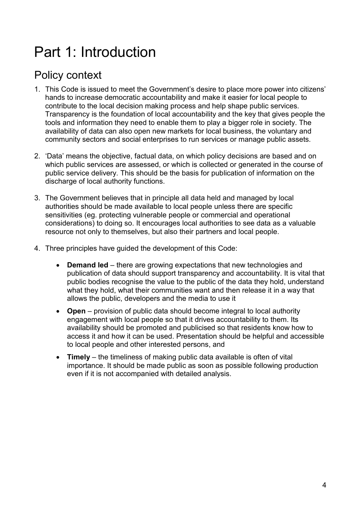# Part 1: Introduction

# Policy context

- 1. This Code is issued to meet the Government's desire to place more power into citizens' hands to increase democratic accountability and make it easier for local people to contribute to the local decision making process and help shape public services. Transparency is the foundation of local accountability and the key that gives people the tools and information they need to enable them to play a bigger role in society. The availability of data can also open new markets for local business, the voluntary and community sectors and social enterprises to run services or manage public assets.
- 2. 'Data' means the objective, factual data, on which policy decisions are based and on which public services are assessed, or which is collected or generated in the course of public service delivery. This should be the basis for publication of information on the discharge of local authority functions.
- 3. The Government believes that in principle all data held and managed by local authorities should be made available to local people unless there are specific sensitivities (eg. protecting vulnerable people or commercial and operational considerations) to doing so. It encourages local authorities to see data as a valuable resource not only to themselves, but also their partners and local people.
- 4. Three principles have guided the development of this Code:
	- **Demand led** there are growing expectations that new technologies and publication of data should support transparency and accountability. It is vital that public bodies recognise the value to the public of the data they hold, understand what they hold, what their communities want and then release it in a way that allows the public, developers and the media to use it
	- **Open** provision of public data should become integral to local authority engagement with local people so that it drives accountability to them. Its availability should be promoted and publicised so that residents know how to access it and how it can be used. Presentation should be helpful and accessible to local people and other interested persons, and
	- **Timely** the timeliness of making public data available is often of vital importance. It should be made public as soon as possible following production even if it is not accompanied with detailed analysis.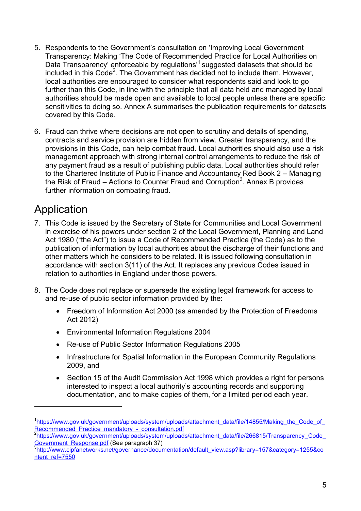- 5. Respondents to the Government's consultation on 'Improving Local Government Transparency: Making 'The Code of Recommended Practice for Local Authorities on Data Transparency' enforceable by regulations<sup>'1</sup> suggested datasets that should be included in this Code<sup>2</sup>. The Government has decided not to include them. However, local authorities are encouraged to consider what respondents said and look to go further than this Code, in line with the principle that all data held and managed by local authorities should be made open and available to local people unless there are specific sensitivities to doing so. Annex A summarises the publication requirements for datasets covered by this Code.
- 6. Fraud can thrive where decisions are not open to scrutiny and details of spending, contracts and service provision are hidden from view. Greater transparency, and the provisions in this Code, can help combat fraud. Local authorities should also use a risk management approach with strong internal control arrangements to reduce the risk of any payment fraud as a result of publishing public data. Local authorities should refer to the Chartered Institute of Public Finance and Accountancy Red Book 2 – Managing the Risk of Fraud  $-$  Actions to Counter Fraud and Corruption<sup>3</sup>. Annex B provides further information on combating fraud.

# Application

- 7. This Code is issued by the Secretary of State for Communities and Local Government in exercise of his powers under section 2 of the Local Government, Planning and Land Act 1980 ("the Act") to issue a Code of Recommended Practice (the Code) as to the publication of information by local authorities about the discharge of their functions and other matters which he considers to be related. It is issued following consultation in accordance with section 3(11) of the Act. It replaces any previous Codes issued in relation to authorities in England under those powers.
- 8. The Code does not replace or supersede the existing legal framework for access to and re-use of public sector information provided by the:
	- Freedom of Information Act 2000 (as amended by the Protection of Freedoms Act 2012)
	- Environmental Information Regulations 2004
	- Re-use of Public Sector Information Regulations 2005
	- Infrastructure for Spatial Information in the European Community Regulations 2009, and
	- Section 15 of the Audit Commission Act 1998 which provides a right for persons interested to inspect a local authority's accounting records and supporting documentation, and to make copies of them, for a limited period each year.

<sup>&</sup>lt;sup>1</sup>[https://www.gov.uk/government/uploads/system/uploads/attachment\\_data/file/14855/Making\\_the\\_Code\\_of\\_](https://www.gov.uk/government/uploads/system/uploads/attachment_data/file/14855/Making_the_Code_of_Recommended_Practice_mandatory_-_consultation.pdf) Recommended Practice mandatory - consultation.pdf

<sup>&</sup>lt;sup>2</sup>https://www.gov.uk/government/uploads/system/uploads/attachment\_data/file/266815/Transparency\_Code\_ Government\_Response.pdf (See paragraph 37)

<sup>3&</sup>lt;br>[http://www.cipfanetworks.net/governance/documentation/default\\_view.asp?library=157&category=1255&co](http://www.cipfanetworks.net/governance/documentation/default_view.asp?library=157&category=1255&content_ref=7550) [ntent\\_ref=7550](http://www.cipfanetworks.net/governance/documentation/default_view.asp?library=157&category=1255&content_ref=7550)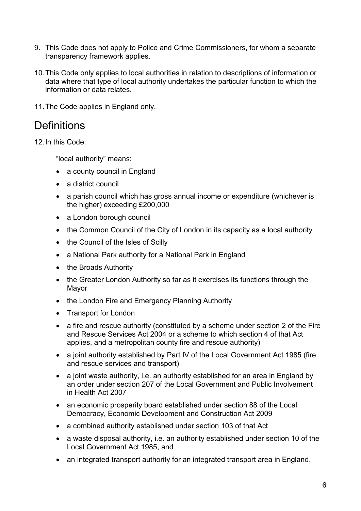- 9. This Code does not apply to Police and Crime Commissioners, for whom a separate transparency framework applies.
- 10.This Code only applies to local authorities in relation to descriptions of information or data where that type of local authority undertakes the particular function to which the information or data relates.
- 11.The Code applies in England only.

## **Definitions**

12.In this Code:

"local authority" means:

- a county council in England
- a district council
- a parish council which has gross annual income or expenditure (whichever is the higher) exceeding £200,000
- a London borough council
- the Common Council of the City of London in its capacity as a local authority
- the Council of the Isles of Scilly
- a National Park authority for a National Park in England
- the Broads Authority
- the Greater London Authority so far as it exercises its functions through the Mayor
- the London Fire and Emergency Planning Authority
- Transport for London
- a fire and rescue authority (constituted by a scheme under section 2 of the Fire and Rescue Services Act 2004 or a scheme to which section 4 of that Act applies, and a metropolitan county fire and rescue authority)
- a joint authority established by Part IV of the Local Government Act 1985 (fire and rescue services and transport)
- a joint waste authority, i.e. an authority established for an area in England by an order under section 207 of the Local Government and Public Involvement in Health Act 2007
- an economic prosperity board established under section 88 of the Local Democracy, Economic Development and Construction Act 2009
- a combined authority established under section 103 of that Act
- a waste disposal authority, i.e. an authority established under section 10 of the Local Government Act 1985, and
- an integrated transport authority for an integrated transport area in England.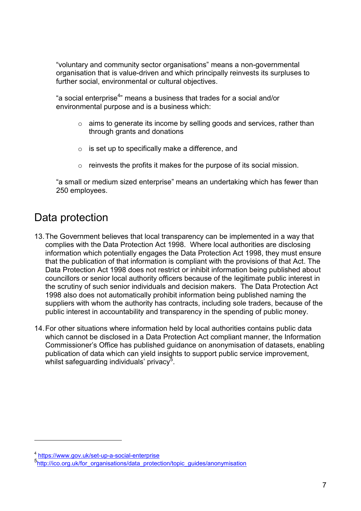"voluntary and community sector organisations" means a non-governmental organisation that is value-driven and which principally reinvests its surpluses to further social, environmental or cultural objectives.

"a social enterprise<sup>4</sup>" means a business that trades for a social and/or environmental purpose and is a business which:

- o aims to generate its income by selling goods and services, rather than through grants and donations
- $\circ$  is set up to specifically make a difference, and
- o reinvests the profits it makes for the purpose of its social mission.

"a small or medium sized enterprise" means an undertaking which has fewer than 250 employees.

# Data protection

- 13.The Government believes that local transparency can be implemented in a way that complies with the Data Protection Act 1998. Where local authorities are disclosing information which potentially engages the Data Protection Act 1998, they must ensure that the publication of that information is compliant with the provisions of that Act. The Data Protection Act 1998 does not restrict or inhibit information being published about councillors or senior local authority officers because of the legitimate public interest in the scrutiny of such senior individuals and decision makers. The Data Protection Act 1998 also does not automatically prohibit information being published naming the suppliers with whom the authority has contracts, including sole traders, because of the public interest in accountability and transparency in the spending of public money.
- 14.For other situations where information held by local authorities contains public data which cannot be disclosed in a Data Protection Act compliant manner, the Information Commissioner's Office has published guidance on anonymisation of datasets, enabling publication of data which can yield insights to support public service improvement, whilst safeguarding individuals' privacy $^5$ .

<sup>4</sup> <https://www.gov.uk/set-up-a-social-enterprise>

<sup>5</sup> [http://ico.org.uk/for\\_organisations/data\\_protection/topic\\_guides/anonymisation](http://ico.org.uk/for_organisations/data_protection/topic_guides/anonymisation)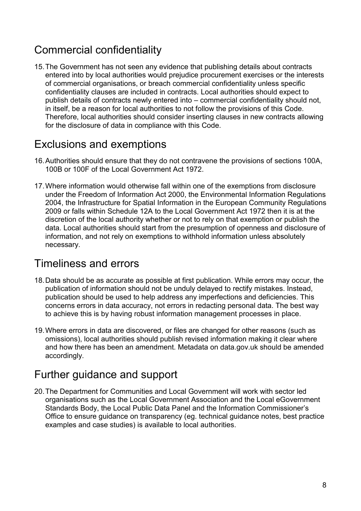# Commercial confidentiality

15.The Government has not seen any evidence that publishing details about contracts entered into by local authorities would prejudice procurement exercises or the interests of commercial organisations, or breach commercial confidentiality unless specific confidentiality clauses are included in contracts. Local authorities should expect to publish details of contracts newly entered into – commercial confidentiality should not, in itself, be a reason for local authorities to not follow the provisions of this Code. Therefore, local authorities should consider inserting clauses in new contracts allowing for the disclosure of data in compliance with this Code.

# Exclusions and exemptions

- 16.Authorities should ensure that they do not contravene the provisions of sections 100A, 100B or 100F of the Local Government Act 1972.
- 17.Where information would otherwise fall within one of the exemptions from disclosure under the Freedom of Information Act 2000, the Environmental Information Regulations 2004, the Infrastructure for Spatial Information in the European Community Regulations 2009 or falls within Schedule 12A to the Local Government Act 1972 then it is at the discretion of the local authority whether or not to rely on that exemption or publish the data. Local authorities should start from the presumption of openness and disclosure of information, and not rely on exemptions to withhold information unless absolutely necessary.

# Timeliness and errors

- 18.Data should be as accurate as possible at first publication. While errors may occur, the publication of information should not be unduly delayed to rectify mistakes. Instead, publication should be used to help address any imperfections and deficiencies. This concerns errors in data accuracy, not errors in redacting personal data. The best way to achieve this is by having robust information management processes in place.
- 19.Where errors in data are discovered, or files are changed for other reasons (such as omissions), local authorities should publish revised information making it clear where and how there has been an amendment. Metadata on data.gov.uk should be amended accordingly.

# Further guidance and support

20.The Department for Communities and Local Government will work with sector led organisations such as the Local Government Association and the Local eGovernment Standards Body, the Local Public Data Panel and the Information Commissioner's Office to ensure guidance on transparency (eg. technical guidance notes, best practice examples and case studies) is available to local authorities.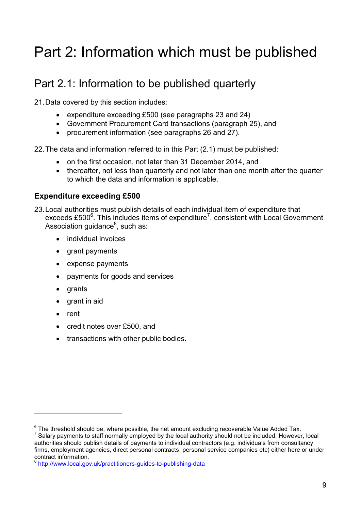# Part 2: Information which must be published

# Part 2.1: Information to be published quarterly

21.Data covered by this section includes:

- expenditure exceeding £500 (see paragraphs 23 and 24)
- Government Procurement Card transactions (paragraph 25), and
- procurement information (see paragraphs 26 and 27).

22.The data and information referred to in this Part (2.1) must be published:

- on the first occasion, not later than 31 December 2014, and
- thereafter, not less than quarterly and not later than one month after the quarter to which the data and information is applicable.

## **Expenditure exceeding £500**

- 23.Local authorities must publish details of each individual item of expenditure that exceeds £500 $^6$ . This includes items of expenditure<sup>7</sup>, consistent with Local Government Association guidance<sup>8</sup>, such as:
	- individual invoices
	- grant payments
	- expense payments
	- payments for goods and services
	- grants
	- grant in aid
	- rent

<u>.</u>

- credit notes over £500, and
- transactions with other public bodies.

 $^6$  The threshold should be, where possible, the net amount excluding recoverable Value Added Tax.

 $<sup>7</sup>$  Salary payments to staff normally employed by the local authority should not be included. However, local</sup> authorities should publish details of payments to individual contractors (e.g. individuals from consultancy firms, employment agencies, direct personal contracts, personal service companies etc) either here or under contract information.

<http://www.local.gov.uk/practitioners-guides-to-publishing-data>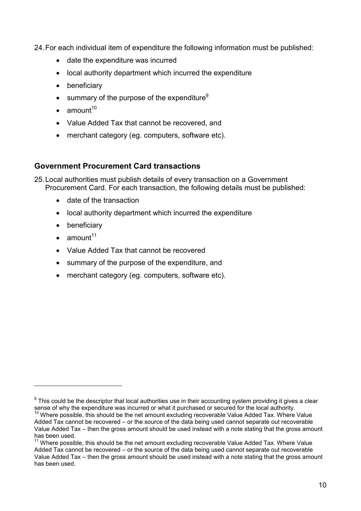24.For each individual item of expenditure the following information must be published:

- date the expenditure was incurred
- local authority department which incurred the expenditure
- beneficiary
- **s** summary of the purpose of the expenditure<sup>9</sup>
- $\bullet$  amount<sup>10</sup>
- Value Added Tax that cannot be recovered, and
- merchant category (eg. computers, software etc).

### **Government Procurement Card transactions**

25.Local authorities must publish details of every transaction on a Government Procurement Card. For each transaction, the following details must be published:

- date of the transaction
- local authority department which incurred the expenditure
- beneficiary
- $\bullet$  amount<sup>11</sup>

- Value Added Tax that cannot be recovered
- summary of the purpose of the expenditure, and
- merchant category (eg. computers, software etc).

 $9$  This could be the descriptor that local authorities use in their accounting system providing it gives a clear sense of why the expenditure was incurred or what it purchased or secured for the local authority.

 $10$  Where possible, this should be the net amount excluding recoverable Value Added Tax. Where Value Added Tax cannot be recovered – or the source of the data being used cannot separate out recoverable Value Added Tax – then the gross amount should be used instead with a note stating that the gross amount has been used.

<sup>11</sup> Where possible, this should be the net amount excluding recoverable Value Added Tax. Where Value Added Tax cannot be recovered – or the source of the data being used cannot separate out recoverable Value Added Tax – then the gross amount should be used instead with a note stating that the gross amount has been used.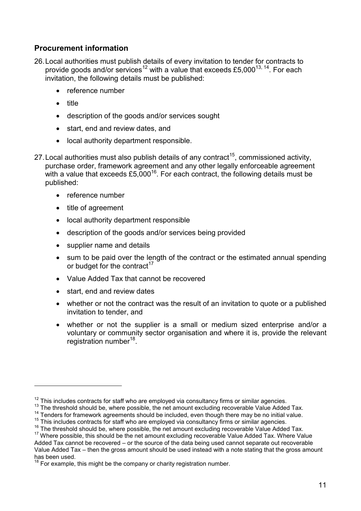### **Procurement information**

- 26.Local authorities must publish details of every invitation to tender for contracts to provide goods and/or services<sup>12</sup> with a value that exceeds £5,000<sup>13, 14</sup>. For each invitation, the following details must be published:
	- reference number
	- title

- description of the goods and/or services sought
- start, end and review dates, and
- local authority department responsible.
- 27. Local authorities must also publish details of any contract<sup>15</sup>, commissioned activity, purchase order, framework agreement and any other legally enforceable agreement with a value that exceeds £5,000<sup>16</sup>. For each contract, the following details must be published:
	- reference number
	- title of agreement
	- local authority department responsible
	- description of the goods and/or services being provided
	- supplier name and details
	- sum to be paid over the length of the contract or the estimated annual spending or budget for the contract<sup>17</sup>
	- Value Added Tax that cannot be recovered
	- start, end and review dates
	- whether or not the contract was the result of an invitation to quote or a published invitation to tender, and
	- whether or not the supplier is a small or medium sized enterprise and/or a voluntary or community sector organisation and where it is, provide the relevant registration number<sup>18</sup>.

 $12$  This includes contracts for staff who are employed via consultancy firms or similar agencies.

<sup>&</sup>lt;sup>13</sup> The threshold should be, where possible, the net amount excluding recoverable Value Added Tax.

<sup>&</sup>lt;sup>14</sup> Tenders for framework agreements should be included, even though there may be no initial value.

<sup>15</sup> This includes contracts for staff who are employed via consultancy firms or similar agencies.

<sup>&</sup>lt;sup>16</sup> The threshold should be, where possible, the net amount excluding recoverable Value Added Tax.

<sup>&</sup>lt;sup>17</sup> Where possible, this should be the net amount excluding recoverable Value Added Tax. Where Value Added Tax cannot be recovered – or the source of the data being used cannot separate out recoverable Value Added Tax – then the gross amount should be used instead with a note stating that the gross amount has been used.

 $18$  For example, this might be the company or charity registration number.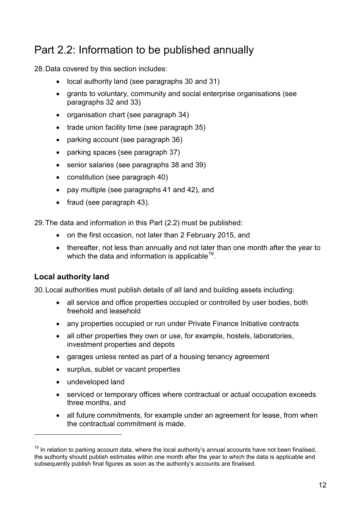# Part 2.2: Information to be published annually

28.Data covered by this section includes:

- local authority land (see paragraphs 30 and 31)
- grants to voluntary, community and social enterprise organisations (see paragraphs 32 and 33)
- organisation chart (see paragraph 34)
- trade union facility time (see paragraph 35)
- parking account (see paragraph 36)
- parking spaces (see paragraph 37)
- senior salaries (see paragraphs 38 and 39)
- constitution (see paragraph 40)
- pay multiple (see paragraphs 41 and 42), and
- fraud (see paragraph 43).

29.The data and information in this Part (2.2) must be published:

- on the first occasion, not later than 2 February 2015, and
- thereafter, not less than annually and not later than one month after the year to which the data and information is applicable $^{19}$ .

### **Local authority land**

30.Local authorities must publish details of all land and building assets including:

- all service and office properties occupied or controlled by user bodies, both freehold and leasehold
- any properties occupied or run under Private Finance Initiative contracts
- all other properties they own or use, for example, hostels, laboratories, investment properties and depots
- garages unless rented as part of a housing tenancy agreement
- surplus, sublet or vacant properties
- undeveloped land

- serviced or temporary offices where contractual or actual occupation exceeds three months, and
- all future commitments, for example under an agreement for lease, from when the contractual commitment is made.

 $19$  In relation to parking account data, where the local authority's annual accounts have not been finalised, the authority should publish estimates within one month after the year to which the data is applicable and subsequently publish final figures as soon as the authority's accounts are finalised.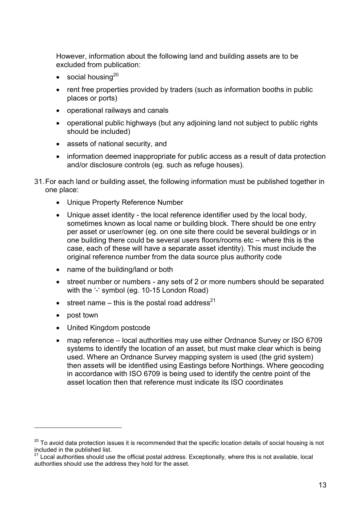However, information about the following land and building assets are to be excluded from publication:

- social housing<sup>20</sup>
- rent free properties provided by traders (such as information booths in public places or ports)
- operational railways and canals
- operational public highways (but any adjoining land not subject to public rights should be included)
- assets of national security, and
- information deemed inappropriate for public access as a result of data protection and/or disclosure controls (eg. such as refuge houses).
- 31.For each land or building asset, the following information must be published together in one place:
	- Unique Property Reference Number
	- Unique asset identity the local reference identifier used by the local body, sometimes known as local name or building block. There should be one entry per asset or user/owner (eg. on one site there could be several buildings or in one building there could be several users floors/rooms etc – where this is the case, each of these will have a separate asset identity). This must include the original reference number from the data source plus authority code
	- name of the building/land or both
	- street number or numbers any sets of 2 or more numbers should be separated with the '-' symbol (eg. 10-15 London Road)
	- street name this is the postal road address<sup>21</sup>
	- post town

- United Kingdom postcode
- map reference local authorities may use either Ordnance Survey or ISO 6709 systems to identify the location of an asset, but must make clear which is being used. Where an Ordnance Survey mapping system is used (the grid system) then assets will be identified using Eastings before Northings. Where geocoding in accordance with ISO 6709 is being used to identify the centre point of the asset location then that reference must indicate its ISO coordinates

<sup>&</sup>lt;sup>20</sup> To avoid data protection issues it is recommended that the specific location details of social housing is not included in the published list.

 $21$  Local authorities should use the official postal address. Exceptionally, where this is not available, local authorities should use the address they hold for the asset.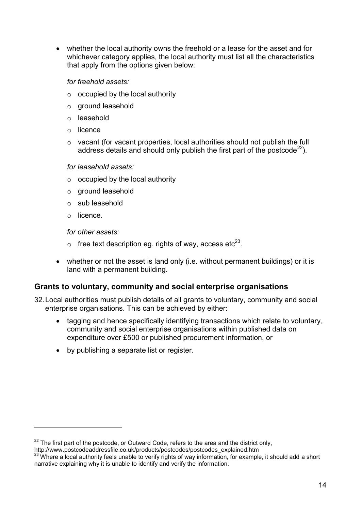whether the local authority owns the freehold or a lease for the asset and for whichever category applies, the local authority must list all the characteristics that apply from the options given below:

#### *for freehold assets:*

- $\circ$  occupied by the local authority
- o ground leasehold
- o leasehold
- o licence
- o vacant (for vacant properties, local authorities should not publish the full address details and should only publish the first part of the postcode<sup>22</sup>).

#### *for leasehold assets:*

- $\circ$  occupied by the local authority
- o ground leasehold
- o sub leasehold
- o licence.

1

*for other assets:*

- $\circ$  free text description eg. rights of way, access etc<sup>23</sup>.
- whether or not the asset is land only (i.e. without permanent buildings) or it is land with a permanent building.

#### **Grants to voluntary, community and social enterprise organisations**

- 32.Local authorities must publish details of all grants to voluntary, community and social enterprise organisations. This can be achieved by either:
	- tagging and hence specifically identifying transactions which relate to voluntary, community and social enterprise organisations within published data on expenditure over £500 or published procurement information, or
	- by publishing a separate list or register.

 $22$  The first part of the postcode, or Outward Code, refers to the area and the district only, http://www.postcodeaddressfile.co.uk/products/postcodes/postcodes\_explained.htm

<sup>&</sup>lt;sup>23</sup> Where a local authority feels unable to verify rights of way information, for example, it should add a short narrative explaining why it is unable to identify and verify the information.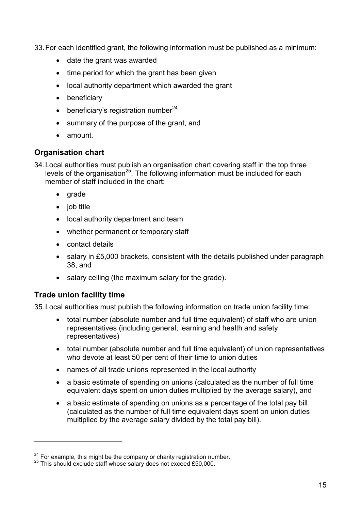33.For each identified grant, the following information must be published as a minimum:

- date the grant was awarded
- $\bullet$  time period for which the grant has been given
- local authority department which awarded the grant
- beneficiary
- $\bullet$  beneficiary's registration number  $24$
- summary of the purpose of the grant, and
- amount.

### **Organisation chart**

34.Local authorities must publish an organisation chart covering staff in the top three levels of the organisation<sup>25</sup>. The following information must be included for each member of staff included in the chart:

- $\bullet$  arade
- $\bullet$  job title
- local authority department and team
- whether permanent or temporary staff
- contact details
- salary in £5,000 brackets, consistent with the details published under paragraph 38, and
- salary ceiling (the maximum salary for the grade).

### **Trade union facility time**

1

35.Local authorities must publish the following information on trade union facility time:

- total number (absolute number and full time equivalent) of staff who are union representatives (including general, learning and health and safety representatives)
- total number (absolute number and full time equivalent) of union representatives who devote at least 50 per cent of their time to union duties
- names of all trade unions represented in the local authority
- a basic estimate of spending on unions (calculated as the number of full time equivalent days spent on union duties multiplied by the average salary), and
- a basic estimate of spending on unions as a percentage of the total pay bill (calculated as the number of full time equivalent days spent on union duties multiplied by the average salary divided by the total pay bill).

<sup>&</sup>lt;sup>24</sup> For example, this might be the company or charity registration number.

<sup>&</sup>lt;sup>25</sup> This should exclude staff whose salary does not exceed £50,000.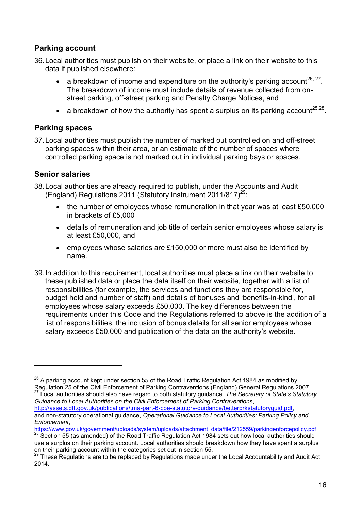### **Parking account**

- 36.Local authorities must publish on their website, or place a link on their website to this data if published elsewhere:
	- a breakdown of income and expenditure on the authority's parking account<sup>26, 27</sup>. The breakdown of income must include details of revenue collected from onstreet parking, off-street parking and Penalty Charge Notices, and
	- a breakdown of how the authority has spent a surplus on its parking account<sup>25,28</sup>.

#### **Parking spaces**

37.Local authorities must publish the number of marked out controlled on and off-street parking spaces within their area, or an estimate of the number of spaces where controlled parking space is not marked out in individual parking bays or spaces.

#### **Senior salaries**

1

- 38.Local authorities are already required to publish, under the Accounts and Audit (England) Regulations 2011 (Statutory Instrument 2011/817)<sup>29</sup>:
	- the number of employees whose remuneration in that year was at least £50,000 in brackets of £5,000
	- details of remuneration and job title of certain senior employees whose salary is at least £50,000, and
	- employees whose salaries are £150,000 or more must also be identified by name.
- 39.In addition to this requirement, local authorities must place a link on their website to these published data or place the data itself on their website, together with a list of responsibilities (for example, the services and functions they are responsible for, budget held and number of staff) and details of bonuses and 'benefits-in-kind', for all employees whose salary exceeds £50,000. The key differences between the requirements under this Code and the Regulations referred to above is the addition of a list of responsibilities, the inclusion of bonus details for all senior employees whose salary exceeds £50,000 and publication of the data on the authority's website.

[https://www.gov.uk/government/uploads/system/uploads/attachment\\_data/file/212559/parkingenforcepolicy.pdf](https://www.gov.uk/government/uploads/system/uploads/attachment_data/file/212559/parkingenforcepolicy.pdf)

 $26$  A parking account kept under section 55 of the Road Traffic Regulation Act 1984 as modified by Regulation 25 of the Civil Enforcement of Parking Contraventions (England) General Regulations 2007. <sup>27</sup> Local authorities should also have regard to both statutory guidance*, The Secretary of State's Statutory* 

*Guidance to Local Authorities on the Civil Enforcement of Parking Contraventions*, [http://assets.dft.gov.uk/publications/tma-part-6-cpe-statutory-guidance/betterprkstatutoryguid.pdf,](http://assets.dft.gov.uk/publications/tma-part-6-cpe-statutory-guidance/betterprkstatutoryguid.pdf) and non-statutory operational guidance, *Operational Guidance to Local Authorities: Parking Policy and Enforcement*,

<sup>&</sup>lt;sup>28</sup> Section 55 (as amended) of the Road Traffic Regulation Act 1984 sets out how local authorities should use a surplus on their parking account. Local authorities should breakdown how they have spent a surplus on their parking account within the categories set out in section 55.

<sup>&</sup>lt;sup>29</sup> These Regulations are to be replaced by Regulations made under the Local Accountability and Audit Act 2014.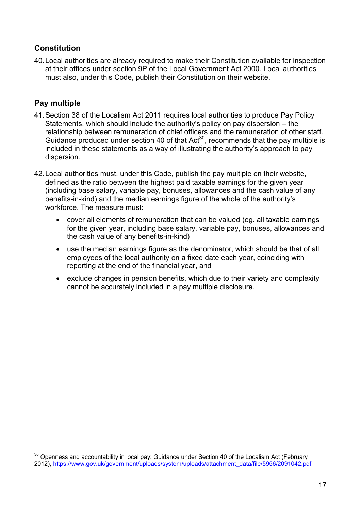### **Constitution**

40.Local authorities are already required to make their Constitution available for inspection at their offices under section 9P of the Local Government Act 2000. Local authorities must also, under this Code, publish their Constitution on their website.

### **Pay multiple**

- 41.Section 38 of the Localism Act 2011 requires local authorities to produce Pay Policy Statements, which should include the authority's policy on pay dispersion – the relationship between remuneration of chief officers and the remuneration of other staff. Guidance produced under section 40 of that Act<sup>30</sup>, recommends that the pay multiple is included in these statements as a way of illustrating the authority's approach to pay dispersion.
- 42.Local authorities must, under this Code, publish the pay multiple on their website, defined as the ratio between the highest paid taxable earnings for the given year (including base salary, variable pay, bonuses, allowances and the cash value of any benefits-in-kind) and the median earnings figure of the whole of the authority's workforce. The measure must:
	- cover all elements of remuneration that can be valued (eg. all taxable earnings for the given year, including base salary, variable pay, bonuses, allowances and the cash value of any benefits-in-kind)
	- use the median earnings figure as the denominator, which should be that of all employees of the local authority on a fixed date each year, coinciding with reporting at the end of the financial year, and
	- exclude changes in pension benefits, which due to their variety and complexity cannot be accurately included in a pay multiple disclosure.

 $30$  Openness and accountability in local pay: Guidance under Section 40 of the Localism Act (February 2012), [https://www.gov.uk/government/uploads/system/uploads/attachment\\_data/file/5956/2091042.pdf](https://www.gov.uk/government/uploads/system/uploads/attachment_data/file/5956/2091042.pdf)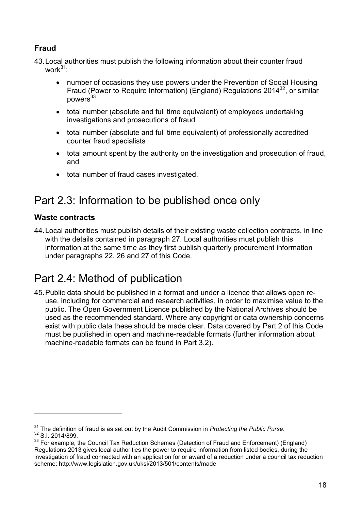## **Fraud**

43.Local authorities must publish the following information about their counter fraud work $31$ 

- number of occasions they use powers under the Prevention of Social Housing Fraud (Power to Require Information) (England) Regulations 2014<sup>32</sup>, or similar  $nowers<sup>33</sup>$
- total number (absolute and full time equivalent) of employees undertaking investigations and prosecutions of fraud
- total number (absolute and full time equivalent) of professionally accredited counter fraud specialists
- total amount spent by the authority on the investigation and prosecution of fraud, and
- total number of fraud cases investigated.

# Part 2.3: Information to be published once only

### **Waste contracts**

<u>.</u>

44.Local authorities must publish details of their existing waste collection contracts, in line with the details contained in paragraph 27. Local authorities must publish this information at the same time as they first publish quarterly procurement information under paragraphs 22, 26 and 27 of this Code.

# Part 2.4: Method of publication

45.Public data should be published in a format and under a licence that allows open reuse, including for commercial and research activities, in order to maximise value to the public. The Open Government Licence published by the National Archives should be used as the recommended standard. Where any copyright or data ownership concerns exist with public data these should be made clear. Data covered by Part 2 of this Code must be published in open and machine-readable formats (further information about machine-readable formats can be found in Part 3.2).

<sup>31</sup> The definition of fraud is as set out by the Audit Commission in *Protecting the Public Purse*. <sup>32</sup> S.I. 2014/899.

<sup>&</sup>lt;sup>33</sup> For example, the Council Tax Reduction Schemes (Detection of Fraud and Enforcement) (England) Regulations 2013 gives local authorities the power to require information from listed bodies, during the investigation of fraud connected with an application for or award of a reduction under a council tax reduction scheme: <http://www.legislation.gov.uk/uksi/2013/501/contents/made>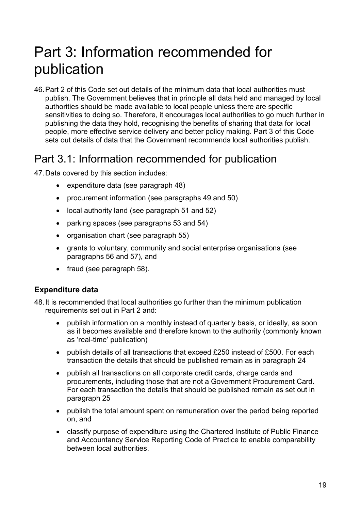# Part 3: Information recommended for publication

46.Part 2 of this Code set out details of the minimum data that local authorities must publish. The Government believes that in principle all data held and managed by local authorities should be made available to local people unless there are specific sensitivities to doing so. Therefore, it encourages local authorities to go much further in publishing the data they hold, recognising the benefits of sharing that data for local people, more effective service delivery and better policy making. Part 3 of this Code sets out details of data that the Government recommends local authorities publish.

## Part 3.1: Information recommended for publication

47.Data covered by this section includes:

- expenditure data (see paragraph 48)
- procurement information (see paragraphs 49 and 50)
- local authority land (see paragraph 51 and 52)
- parking spaces (see paragraphs 53 and 54)
- organisation chart (see paragraph 55)
- grants to voluntary, community and social enterprise organisations (see paragraphs 56 and 57), and
- fraud (see paragraph 58).

#### **Expenditure data**

48.It is recommended that local authorities go further than the minimum publication requirements set out in Part 2 and:

- publish information on a monthly instead of quarterly basis, or ideally, as soon as it becomes available and therefore known to the authority (commonly known as 'real-time' publication)
- publish details of all transactions that exceed £250 instead of £500. For each transaction the details that should be published remain as in paragraph 24
- publish all transactions on all corporate credit cards, charge cards and procurements, including those that are not a Government Procurement Card. For each transaction the details that should be published remain as set out in paragraph 25
- publish the total amount spent on remuneration over the period being reported on, and
- classify purpose of expenditure using the Chartered Institute of Public Finance and Accountancy Service Reporting Code of Practice to enable comparability between local authorities.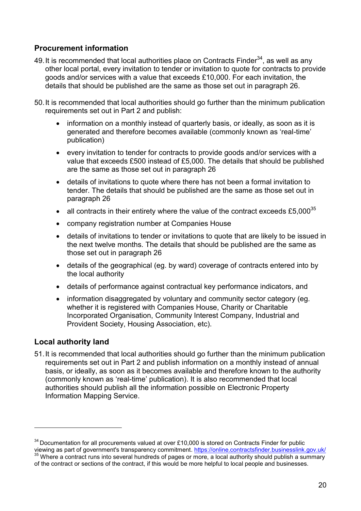### **Procurement information**

- 49. It is recommended that local authorities place on Contracts Finder<sup>34</sup>, as well as any other local portal, every invitation to tender or invitation to quote for contracts to provide goods and/or services with a value that exceeds £10,000. For each invitation, the details that should be published are the same as those set out in paragraph 26.
- 50.It is recommended that local authorities should go further than the minimum publication requirements set out in Part 2 and publish:
	- information on a monthly instead of quarterly basis, or ideally, as soon as it is generated and therefore becomes available (commonly known as 'real-time' publication)
	- every invitation to tender for contracts to provide goods and/or services with a value that exceeds £500 instead of £5,000. The details that should be published are the same as those set out in paragraph 26
	- details of invitations to quote where there has not been a formal invitation to tender. The details that should be published are the same as those set out in paragraph 26
	- all contracts in their entirety where the value of the contract exceeds  $£5,000^{35}$
	- company registration number at Companies House
	- details of invitations to tender or invitations to quote that are likely to be issued in the next twelve months. The details that should be published are the same as those set out in paragraph 26
	- details of the geographical (eg. by ward) coverage of contracts entered into by the local authority
	- details of performance against contractual key performance indicators, and
	- information disaggregated by voluntary and community sector category (eg. whether it is registered with Companies House, Charity or Charitable Incorporated Organisation, Community Interest Company, Industrial and Provident Society, Housing Association, etc).

#### **Local authority land**

1

51.It is recommended that local authorities should go further than the minimum publication requirements set out in Part 2 and publish information on a monthly instead of annual basis, or ideally, as soon as it becomes available and therefore known to the authority (commonly known as 'real-time' publication). It is also recommended that local authorities should publish all the information possible on Electronic Property Information Mapping Service.

 $34$  Documentation for all procurements valued at over £10,000 is stored on Contracts Finder for public viewing as part of government's transparency commitment.<https://online.contractsfinder.businesslink.gov.uk/> <sup>35</sup> Where a contract runs into several hundreds of pages or more, a local authority should publish a summary of the contract or sections of the contract, if this would be more helpful to local people and businesses.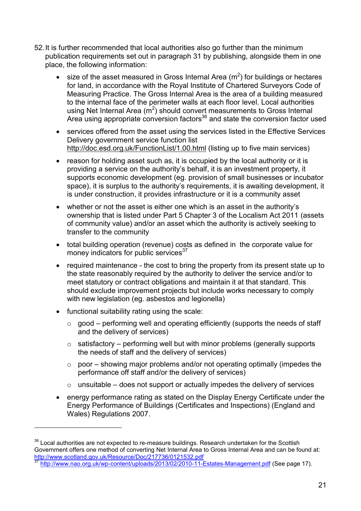- 52.It is further recommended that local authorities also go further than the minimum publication requirements set out in paragraph 31 by publishing, alongside them in one place, the following information:
	- size of the asset measured in Gross Internal Area  $(m^2)$  for buildings or hectares for land, in accordance with the Royal Institute of Chartered Surveyors Code of Measuring Practice. The Gross Internal Area is the area of a building measured to the internal face of the perimeter walls at each floor level. Local authorities using Net Internal Area  $(m^2)$  should convert measurements to Gross Internal Area using appropriate conversion factors<sup>36</sup> and state the conversion factor used
	- services offered from the asset using the services listed in the Effective Services Delivery government service function list <http://doc.esd.org.uk/FunctionList/1.00.html> (listing up to five main services)
	- reason for holding asset such as, it is occupied by the local authority or it is providing a service on the authority's behalf, it is an investment property, it supports economic development (eg. provision of small businesses or incubator space), it is surplus to the authority's requirements, it is awaiting development, it is under construction, it provides infrastructure or it is a community asset
	- whether or not the asset is either one which is an asset in the authority's ownership that is listed under Part 5 Chapter 3 of the Localism Act 2011 (assets of community value) and/or an asset which the authority is actively seeking to transfer to the community
	- total building operation (revenue) costs as defined in the corporate value for money indicators for public services $37$
	- required maintenance the cost to bring the property from its present state up to the state reasonably required by the authority to deliver the service and/or to meet statutory or contract obligations and maintain it at that standard. This should exclude improvement projects but include works necessary to comply with new legislation (eg. asbestos and legionella)
	- functional suitability rating using the scale:

- $\circ$  good performing well and operating efficiently (supports the needs of staff and the delivery of services)
- $\circ$  satisfactory performing well but with minor problems (generally supports the needs of staff and the delivery of services)
- $\circ$  poor showing major problems and/or not operating optimally (impedes the performance off staff and/or the delivery of services)
- $\circ$  unsuitable does not support or actually impedes the delivery of services
- energy performance rating as stated on the Display Energy Certificate under the Energy Performance of Buildings (Certificates and Inspections) (England and Wales) Regulations 2007.

<sup>&</sup>lt;sup>36</sup> Local authorities are not expected to re-measure buildings. Research undertaken for the Scottish Government offers one method of converting Net Internal Area to Gross Internal Area and can be found at: <http://www.scotland.gov.uk/Resource/Doc/217736/0121532.pdf>

<sup>37</sup> <http://www.nao.org.uk/wp-content/uploads/2013/02/2010-11-Estates-Management.pdf> (See page 17).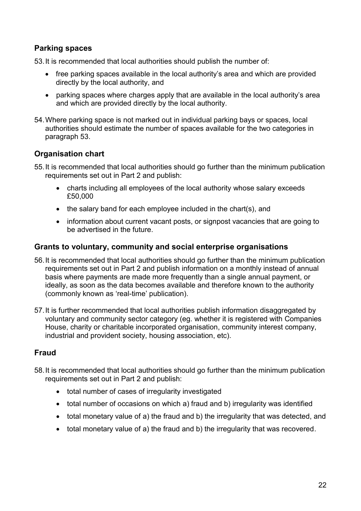### **Parking spaces**

53.It is recommended that local authorities should publish the number of:

- free parking spaces available in the local authority's area and which are provided directly by the local authority, and
- parking spaces where charges apply that are available in the local authority's area and which are provided directly by the local authority.
- 54.Where parking space is not marked out in individual parking bays or spaces, local authorities should estimate the number of spaces available for the two categories in paragraph 53.

### **Organisation chart**

- 55.It is recommended that local authorities should go further than the minimum publication requirements set out in Part 2 and publish:
	- charts including all employees of the local authority whose salary exceeds £50,000
	- the salary band for each employee included in the chart(s), and
	- information about current vacant posts, or signpost vacancies that are going to be advertised in the future.

#### **Grants to voluntary, community and social enterprise organisations**

- 56.It is recommended that local authorities should go further than the minimum publication requirements set out in Part 2 and publish information on a monthly instead of annual basis where payments are made more frequently than a single annual payment, or ideally, as soon as the data becomes available and therefore known to the authority (commonly known as 'real-time' publication).
- 57.It is further recommended that local authorities publish information disaggregated by voluntary and community sector category (eg. whether it is registered with Companies House, charity or charitable incorporated organisation, community interest company, industrial and provident society, housing association, etc).

### **Fraud**

- 58.It is recommended that local authorities should go further than the minimum publication requirements set out in Part 2 and publish:
	- total number of cases of irregularity investigated
	- total number of occasions on which a) fraud and b) irregularity was identified
	- total monetary value of a) the fraud and b) the irregularity that was detected, and
	- total monetary value of a) the fraud and b) the irregularity that was recovered.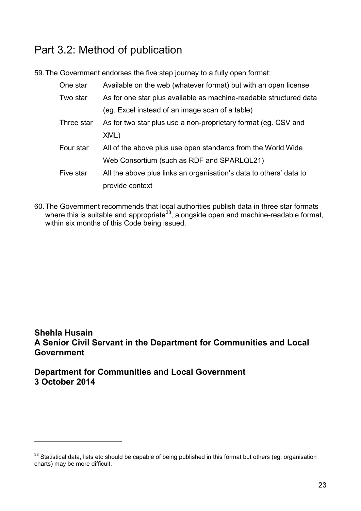# Part 3.2: Method of publication

59.The Government endorses the five step journey to a fully open format:

| One star   | Available on the web (whatever format) but with an open license    |
|------------|--------------------------------------------------------------------|
| Two star   | As for one star plus available as machine-readable structured data |
|            | (eg. Excel instead of an image scan of a table)                    |
| Three star | As for two star plus use a non-proprietary format (eg. CSV and     |
|            | XML)                                                               |
| Four star  | All of the above plus use open standards from the World Wide       |
|            | Web Consortium (such as RDF and SPARLQL21)                         |
| Five star  | All the above plus links an organisation's data to others' data to |
|            | provide context                                                    |

60.The Government recommends that local authorities publish data in three star formats where this is suitable and appropriate<sup>38</sup>, alongside open and machine-readable format, within six months of this Code being issued.

## **Shehla Husain A Senior Civil Servant in the Department for Communities and Local Government**

**Department for Communities and Local Government 3 October 2014**

<sup>&</sup>lt;sup>38</sup> Statistical data, lists etc should be capable of being published in this format but others (eg. organisation charts) may be more difficult.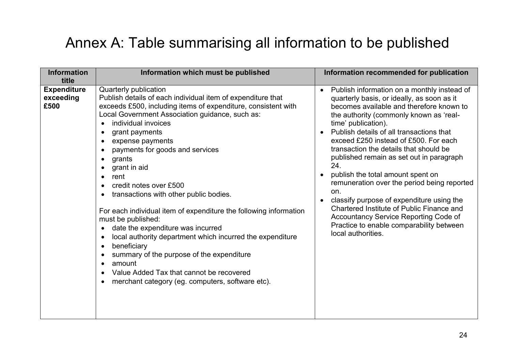# Annex A: Table summarising all information to be published

| <b>Information</b><br>title             | Information which must be published                                                                                                                                                                                                                                                                                                                                                                                                                                                                                                                                                                                                                                                                                                                                                                                      | Information recommended for publication                                                                                                                                                                                                                                                                                                                                                                                                                                                                                                                                                                                                                                                                                                       |
|-----------------------------------------|--------------------------------------------------------------------------------------------------------------------------------------------------------------------------------------------------------------------------------------------------------------------------------------------------------------------------------------------------------------------------------------------------------------------------------------------------------------------------------------------------------------------------------------------------------------------------------------------------------------------------------------------------------------------------------------------------------------------------------------------------------------------------------------------------------------------------|-----------------------------------------------------------------------------------------------------------------------------------------------------------------------------------------------------------------------------------------------------------------------------------------------------------------------------------------------------------------------------------------------------------------------------------------------------------------------------------------------------------------------------------------------------------------------------------------------------------------------------------------------------------------------------------------------------------------------------------------------|
| <b>Expenditure</b><br>exceeding<br>£500 | Quarterly publication<br>Publish details of each individual item of expenditure that<br>exceeds £500, including items of expenditure, consistent with<br>Local Government Association guidance, such as:<br>individual invoices<br>grant payments<br>expense payments<br>payments for goods and services<br>grants<br>grant in aid<br>rent<br>$\bullet$<br>credit notes over £500<br>transactions with other public bodies.<br>For each individual item of expenditure the following information<br>must be published:<br>date the expenditure was incurred<br>$\bullet$<br>local authority department which incurred the expenditure<br>$\bullet$<br>beneficiary<br>summary of the purpose of the expenditure<br>amount<br>Value Added Tax that cannot be recovered<br>merchant category (eg. computers, software etc). | Publish information on a monthly instead of<br>$\bullet$<br>quarterly basis, or ideally, as soon as it<br>becomes available and therefore known to<br>the authority (commonly known as 'real-<br>time' publication).<br>Publish details of all transactions that<br>$\bullet$<br>exceed £250 instead of £500. For each<br>transaction the details that should be<br>published remain as set out in paragraph<br>24.<br>publish the total amount spent on<br>$\bullet$<br>remuneration over the period being reported<br>on.<br>classify purpose of expenditure using the<br>$\bullet$<br>Chartered Institute of Public Finance and<br>Accountancy Service Reporting Code of<br>Practice to enable comparability between<br>local authorities. |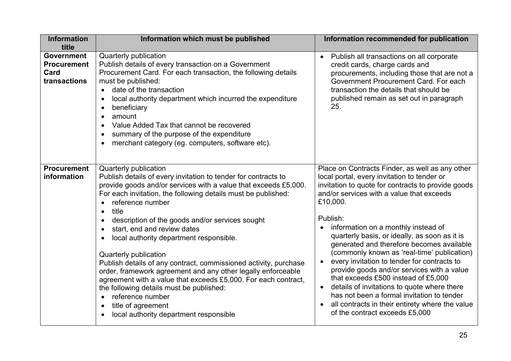| <b>Information</b><br>title                                     | Information which must be published                                                                                                                                                                                                                                                                                                                                                                                                                                                                                                      | Information recommended for publication                                                                                                                                                                                                                                                                                                                                                                                                                                                                                                      |
|-----------------------------------------------------------------|------------------------------------------------------------------------------------------------------------------------------------------------------------------------------------------------------------------------------------------------------------------------------------------------------------------------------------------------------------------------------------------------------------------------------------------------------------------------------------------------------------------------------------------|----------------------------------------------------------------------------------------------------------------------------------------------------------------------------------------------------------------------------------------------------------------------------------------------------------------------------------------------------------------------------------------------------------------------------------------------------------------------------------------------------------------------------------------------|
| <b>Government</b><br><b>Procurement</b><br>Card<br>transactions | Quarterly publication<br>Publish details of every transaction on a Government<br>Procurement Card. For each transaction, the following details<br>must be published:<br>date of the transaction<br>$\bullet$<br>local authority department which incurred the expenditure<br>beneficiary<br>amount<br>$\bullet$<br>Value Added Tax that cannot be recovered<br>summary of the purpose of the expenditure<br>merchant category (eg. computers, software etc).                                                                             | Publish all transactions on all corporate<br>$\bullet$<br>credit cards, charge cards and<br>procurements, including those that are not a<br>Government Procurement Card. For each<br>transaction the details that should be<br>published remain as set out in paragraph<br>25.                                                                                                                                                                                                                                                               |
| <b>Procurement</b><br>information                               | Quarterly publication<br>Publish details of every invitation to tender for contracts to<br>provide goods and/or services with a value that exceeds £5,000.<br>For each invitation, the following details must be published:<br>reference number<br>$\bullet$                                                                                                                                                                                                                                                                             | Place on Contracts Finder, as well as any other<br>local portal, every invitation to tender or<br>invitation to quote for contracts to provide goods<br>and/or services with a value that exceeds<br>£10,000.                                                                                                                                                                                                                                                                                                                                |
|                                                                 | title<br>$\bullet$<br>description of the goods and/or services sought<br>start, end and review dates<br>$\bullet$<br>local authority department responsible.<br>Quarterly publication<br>Publish details of any contract, commissioned activity, purchase<br>order, framework agreement and any other legally enforceable<br>agreement with a value that exceeds £5,000. For each contract,<br>the following details must be published:<br>reference number<br>$\bullet$<br>title of agreement<br>local authority department responsible | Publish:<br>information on a monthly instead of<br>quarterly basis, or ideally, as soon as it is<br>generated and therefore becomes available<br>(commonly known as 'real-time' publication)<br>every invitation to tender for contracts to<br>$\bullet$<br>provide goods and/or services with a value<br>that exceeds £500 instead of £5,000<br>details of invitations to quote where there<br>$\bullet$<br>has not been a formal invitation to tender<br>all contracts in their entirety where the value<br>of the contract exceeds £5,000 |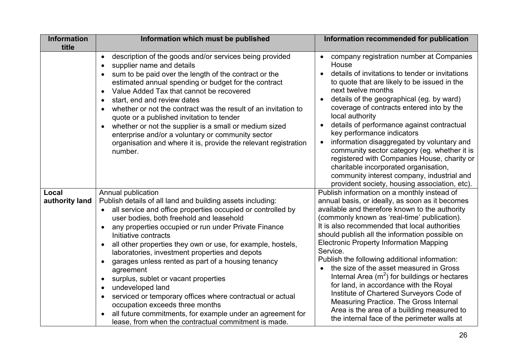| <b>Information</b><br>title | Information which must be published                                                                                                                                                                                                                                                                                                                                                                                                                                                                                                                                                                                                                                                                                                               | Information recommended for publication                                                                                                                                                                                                                                                                                                                                                                                                                                                                                                                                                                                                                                                                                                       |
|-----------------------------|---------------------------------------------------------------------------------------------------------------------------------------------------------------------------------------------------------------------------------------------------------------------------------------------------------------------------------------------------------------------------------------------------------------------------------------------------------------------------------------------------------------------------------------------------------------------------------------------------------------------------------------------------------------------------------------------------------------------------------------------------|-----------------------------------------------------------------------------------------------------------------------------------------------------------------------------------------------------------------------------------------------------------------------------------------------------------------------------------------------------------------------------------------------------------------------------------------------------------------------------------------------------------------------------------------------------------------------------------------------------------------------------------------------------------------------------------------------------------------------------------------------|
|                             | description of the goods and/or services being provided<br>$\bullet$<br>supplier name and details<br>sum to be paid over the length of the contract or the<br>estimated annual spending or budget for the contract<br>Value Added Tax that cannot be recovered<br>$\bullet$<br>start, end and review dates<br>whether or not the contract was the result of an invitation to<br>quote or a published invitation to tender<br>whether or not the supplier is a small or medium sized<br>enterprise and/or a voluntary or community sector<br>organisation and where it is, provide the relevant registration<br>number.                                                                                                                            | company registration number at Companies<br>House<br>details of invitations to tender or invitations<br>to quote that are likely to be issued in the<br>next twelve months<br>details of the geographical (eg. by ward)<br>coverage of contracts entered into by the<br>local authority<br>details of performance against contractual<br>$\bullet$<br>key performance indicators<br>information disaggregated by voluntary and<br>$\bullet$<br>community sector category (eg. whether it is<br>registered with Companies House, charity or<br>charitable incorporated organisation,<br>community interest company, industrial and<br>provident society, housing association, etc).                                                            |
| Local<br>authority land     | Annual publication<br>Publish details of all land and building assets including:<br>all service and office properties occupied or controlled by<br>user bodies, both freehold and leasehold<br>any properties occupied or run under Private Finance<br>Initiative contracts<br>all other properties they own or use, for example, hostels,<br>laboratories, investment properties and depots<br>garages unless rented as part of a housing tenancy<br>agreement<br>surplus, sublet or vacant properties<br>undeveloped land<br>serviced or temporary offices where contractual or actual<br>occupation exceeds three months<br>all future commitments, for example under an agreement for<br>lease, from when the contractual commitment is made. | Publish information on a monthly instead of<br>annual basis, or ideally, as soon as it becomes<br>available and therefore known to the authority<br>(commonly known as 'real-time' publication).<br>It is also recommended that local authorities<br>should publish all the information possible on<br><b>Electronic Property Information Mapping</b><br>Service.<br>Publish the following additional information:<br>the size of the asset measured in Gross<br>Internal Area $(m^2)$ for buildings or hectares<br>for land, in accordance with the Royal<br>Institute of Chartered Surveyors Code of<br>Measuring Practice. The Gross Internal<br>Area is the area of a building measured to<br>the internal face of the perimeter walls at |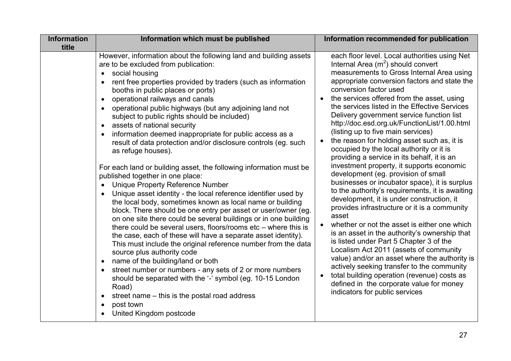| <b>Information</b><br>title | Information which must be published                                                                                                                                                                                                                                                                                                                                                                                                                                                                                                                                                                                                                                                                                                                                                                                                                                                                                                                                                                                                                                                                                                                                                                                                                                                                                                                                                                                                                                                                                   | Information recommended for publication                                                                                                                                                                                                                                                                                                                                                                                                                                                                                                                                                                                                                                                                                                                                                                                                                                                                                                                                                                                                                                                                                                                                                                                                                                                                                            |
|-----------------------------|-----------------------------------------------------------------------------------------------------------------------------------------------------------------------------------------------------------------------------------------------------------------------------------------------------------------------------------------------------------------------------------------------------------------------------------------------------------------------------------------------------------------------------------------------------------------------------------------------------------------------------------------------------------------------------------------------------------------------------------------------------------------------------------------------------------------------------------------------------------------------------------------------------------------------------------------------------------------------------------------------------------------------------------------------------------------------------------------------------------------------------------------------------------------------------------------------------------------------------------------------------------------------------------------------------------------------------------------------------------------------------------------------------------------------------------------------------------------------------------------------------------------------|------------------------------------------------------------------------------------------------------------------------------------------------------------------------------------------------------------------------------------------------------------------------------------------------------------------------------------------------------------------------------------------------------------------------------------------------------------------------------------------------------------------------------------------------------------------------------------------------------------------------------------------------------------------------------------------------------------------------------------------------------------------------------------------------------------------------------------------------------------------------------------------------------------------------------------------------------------------------------------------------------------------------------------------------------------------------------------------------------------------------------------------------------------------------------------------------------------------------------------------------------------------------------------------------------------------------------------|
|                             | However, information about the following land and building assets<br>are to be excluded from publication:<br>social housing<br>rent free properties provided by traders (such as information<br>booths in public places or ports)<br>operational railways and canals<br>$\bullet$<br>operational public highways (but any adjoining land not<br>subject to public rights should be included)<br>assets of national security<br>$\bullet$<br>information deemed inappropriate for public access as a<br>result of data protection and/or disclosure controls (eg. such<br>as refuge houses).<br>For each land or building asset, the following information must be<br>published together in one place:<br><b>Unique Property Reference Number</b><br>Unique asset identity - the local reference identifier used by<br>the local body, sometimes known as local name or building<br>block. There should be one entry per asset or user/owner (eg.<br>on one site there could be several buildings or in one building<br>there could be several users, floors/rooms etc – where this is<br>the case, each of these will have a separate asset identity).<br>This must include the original reference number from the data<br>source plus authority code<br>name of the building/land or both<br>street number or numbers - any sets of 2 or more numbers<br>should be separated with the '-' symbol (eg. 10-15 London<br>Road)<br>street name – this is the postal road address<br>post town<br>United Kingdom postcode | each floor level. Local authorities using Net<br>Internal Area $(m^2)$ should convert<br>measurements to Gross Internal Area using<br>appropriate conversion factors and state the<br>conversion factor used<br>the services offered from the asset, using<br>$\bullet$<br>the services listed in the Effective Services<br>Delivery government service function list<br>http://doc.esd.org.uk/FunctionList/1.00.html<br>(listing up to five main services)<br>the reason for holding asset such as, it is<br>occupied by the local authority or it is<br>providing a service in its behalf, it is an<br>investment property, it supports economic<br>development (eg. provision of small<br>businesses or incubator space), it is surplus<br>to the authority's requirements, it is awaiting<br>development, it is under construction, it<br>provides infrastructure or it is a community<br>asset<br>whether or not the asset is either one which<br>is an asset in the authority's ownership that<br>is listed under Part 5 Chapter 3 of the<br>Localism Act 2011 (assets of community<br>value) and/or an asset where the authority is<br>actively seeking transfer to the community<br>total building operation (revenue) costs as<br>$\bullet$<br>defined in the corporate value for money<br>indicators for public services |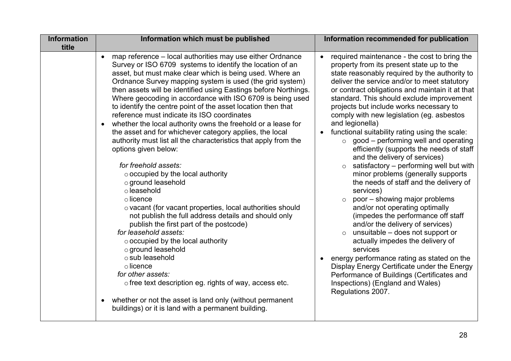| <b>Information</b> | Information which must be published                                                                                                                                                                                                                                                                                                                                                                                                                                                                                                                                                               | Information recommended for publication                                                                                                                                                                                                                                                                                                                                                                                                                                                                                                                                                                                                                                                         |
|--------------------|---------------------------------------------------------------------------------------------------------------------------------------------------------------------------------------------------------------------------------------------------------------------------------------------------------------------------------------------------------------------------------------------------------------------------------------------------------------------------------------------------------------------------------------------------------------------------------------------------|-------------------------------------------------------------------------------------------------------------------------------------------------------------------------------------------------------------------------------------------------------------------------------------------------------------------------------------------------------------------------------------------------------------------------------------------------------------------------------------------------------------------------------------------------------------------------------------------------------------------------------------------------------------------------------------------------|
| title              | map reference - local authorities may use either Ordnance<br>$\bullet$<br>Survey or ISO 6709 systems to identify the location of an<br>asset, but must make clear which is being used. Where an<br>Ordnance Survey mapping system is used (the grid system)                                                                                                                                                                                                                                                                                                                                       | required maintenance - the cost to bring the<br>$\bullet$<br>property from its present state up to the<br>state reasonably required by the authority to<br>deliver the service and/or to meet statutory                                                                                                                                                                                                                                                                                                                                                                                                                                                                                         |
|                    | then assets will be identified using Eastings before Northings.<br>Where geocoding in accordance with ISO 6709 is being used<br>to identify the centre point of the asset location then that<br>reference must indicate its ISO coordinates<br>whether the local authority owns the freehold or a lease for<br>the asset and for whichever category applies, the local                                                                                                                                                                                                                            | or contract obligations and maintain it at that<br>standard. This should exclude improvement<br>projects but include works necessary to<br>comply with new legislation (eg. asbestos<br>and legionella)<br>functional suitability rating using the scale:                                                                                                                                                                                                                                                                                                                                                                                                                                       |
|                    | authority must list all the characteristics that apply from the<br>options given below:<br>for freehold assets:<br>$\circ$ occupied by the local authority<br>o ground leasehold<br>o leasehold<br>$\circ$ licence<br>o vacant (for vacant properties, local authorities should<br>not publish the full address details and should only<br>publish the first part of the postcode)<br>for leasehold assets:<br>$\circ$ occupied by the local authority<br>o ground leasehold<br>o sub leasehold<br>$\circ$ licence<br>for other assets:<br>o free text description eg. rights of way, access etc. | good – performing well and operating<br>$\circ$<br>efficiently (supports the needs of staff<br>and the delivery of services)<br>satisfactory - performing well but with<br>minor problems (generally supports<br>the needs of staff and the delivery of<br>services)<br>poor - showing major problems<br>$\circ$<br>and/or not operating optimally<br>(impedes the performance off staff<br>and/or the delivery of services)<br>unsuitable - does not support or<br>actually impedes the delivery of<br>services<br>energy performance rating as stated on the<br>Display Energy Certificate under the Energy<br>Performance of Buildings (Certificates and<br>Inspections) (England and Wales) |
|                    | whether or not the asset is land only (without permanent<br>$\bullet$<br>buildings) or it is land with a permanent building.                                                                                                                                                                                                                                                                                                                                                                                                                                                                      | Regulations 2007.                                                                                                                                                                                                                                                                                                                                                                                                                                                                                                                                                                                                                                                                               |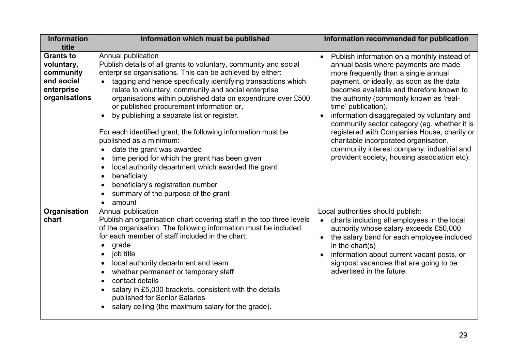| <b>Information</b><br>Information which must be published                                                                                        | Information recommended for publication                                             |
|--------------------------------------------------------------------------------------------------------------------------------------------------|-------------------------------------------------------------------------------------|
| title                                                                                                                                            |                                                                                     |
| Annual publication<br><b>Grants to</b>                                                                                                           | Publish information on a monthly instead of                                         |
| Publish details of all grants to voluntary, community and social<br>voluntary,                                                                   | annual basis where payments are made                                                |
| enterprise organisations. This can be achieved by either:<br>community                                                                           | more frequently than a single annual                                                |
| and social<br>tagging and hence specifically identifying transactions which                                                                      | payment, or ideally, as soon as the data                                            |
| enterprise<br>relate to voluntary, community and social enterprise                                                                               | becomes available and therefore known to                                            |
| organisations<br>organisations within published data on expenditure over £500                                                                    | the authority (commonly known as 'real-                                             |
| or published procurement information or,                                                                                                         | time' publication).                                                                 |
| by publishing a separate list or register.<br>$\bullet$                                                                                          | information disaggregated by voluntary and<br>$\bullet$                             |
|                                                                                                                                                  | community sector category (eg. whether it is                                        |
| For each identified grant, the following information must be                                                                                     | registered with Companies House, charity or                                         |
| published as a minimum:                                                                                                                          | charitable incorporated organisation,<br>community interest company, industrial and |
| date the grant was awarded                                                                                                                       | provident society, housing association etc).                                        |
| time period for which the grant has been given                                                                                                   |                                                                                     |
| local authority department which awarded the grant                                                                                               |                                                                                     |
| beneficiary                                                                                                                                      |                                                                                     |
| beneficiary's registration number<br>$\bullet$                                                                                                   |                                                                                     |
| summary of the purpose of the grant                                                                                                              |                                                                                     |
| amount                                                                                                                                           |                                                                                     |
| Organisation<br>Annual publication                                                                                                               | Local authorities should publish:                                                   |
| chart<br>Publish an organisation chart covering staff in the top three levels<br>of the organisation. The following information must be included | charts including all employees in the local<br>$\bullet$                            |
| for each member of staff included in the chart:                                                                                                  | authority whose salary exceeds £50,000                                              |
|                                                                                                                                                  | the salary band for each employee included<br>$\bullet$                             |
| grade<br>$\bullet$                                                                                                                               | in the chart(s)                                                                     |
| job title<br>$\bullet$                                                                                                                           | information about current vacant posts, or                                          |
| local authority department and team                                                                                                              | signpost vacancies that are going to be<br>advertised in the future.                |
| whether permanent or temporary staff<br>$\bullet$                                                                                                |                                                                                     |
| contact details<br>$\bullet$                                                                                                                     |                                                                                     |
| salary in £5,000 brackets, consistent with the details                                                                                           |                                                                                     |
| published for Senior Salaries                                                                                                                    |                                                                                     |
| salary ceiling (the maximum salary for the grade).<br>$\bullet$                                                                                  |                                                                                     |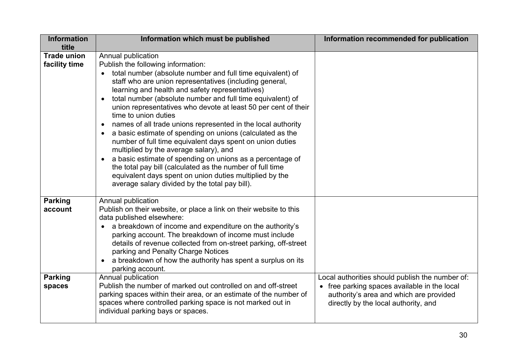| <b>Information</b>                  | Information which must be published                                                                                                                                                                                                                                                                                                                                                                                                                                                                                                                                                                                                                                                                                                                                                                                                                                                               | Information recommended for publication                                                                                                                                            |
|-------------------------------------|---------------------------------------------------------------------------------------------------------------------------------------------------------------------------------------------------------------------------------------------------------------------------------------------------------------------------------------------------------------------------------------------------------------------------------------------------------------------------------------------------------------------------------------------------------------------------------------------------------------------------------------------------------------------------------------------------------------------------------------------------------------------------------------------------------------------------------------------------------------------------------------------------|------------------------------------------------------------------------------------------------------------------------------------------------------------------------------------|
| title                               |                                                                                                                                                                                                                                                                                                                                                                                                                                                                                                                                                                                                                                                                                                                                                                                                                                                                                                   |                                                                                                                                                                                    |
| <b>Trade union</b><br>facility time | Annual publication<br>Publish the following information:<br>total number (absolute number and full time equivalent) of<br>staff who are union representatives (including general,<br>learning and health and safety representatives)<br>total number (absolute number and full time equivalent) of<br>union representatives who devote at least 50 per cent of their<br>time to union duties<br>names of all trade unions represented in the local authority<br>$\bullet$<br>a basic estimate of spending on unions (calculated as the<br>$\bullet$<br>number of full time equivalent days spent on union duties<br>multiplied by the average salary), and<br>a basic estimate of spending on unions as a percentage of<br>the total pay bill (calculated as the number of full time<br>equivalent days spent on union duties multiplied by the<br>average salary divided by the total pay bill). |                                                                                                                                                                                    |
| <b>Parking</b><br>account           | Annual publication<br>Publish on their website, or place a link on their website to this<br>data published elsewhere:<br>a breakdown of income and expenditure on the authority's<br>parking account. The breakdown of income must include<br>details of revenue collected from on-street parking, off-street<br>parking and Penalty Charge Notices<br>a breakdown of how the authority has spent a surplus on its<br>parking account.                                                                                                                                                                                                                                                                                                                                                                                                                                                            |                                                                                                                                                                                    |
| <b>Parking</b><br>spaces            | Annual publication<br>Publish the number of marked out controlled on and off-street<br>parking spaces within their area, or an estimate of the number of<br>spaces where controlled parking space is not marked out in<br>individual parking bays or spaces.                                                                                                                                                                                                                                                                                                                                                                                                                                                                                                                                                                                                                                      | Local authorities should publish the number of:<br>• free parking spaces available in the local<br>authority's area and which are provided<br>directly by the local authority, and |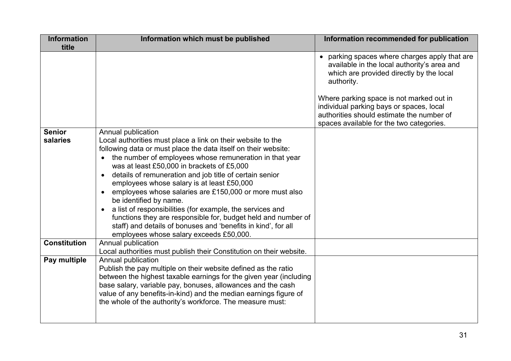| <b>Information</b><br>title | Information which must be published                                                                                                                                                                                                                                                                                                                                                                                                                                                                                                                                                                                                                                                                               | Information recommended for publication                                                                                                                                                                                                                                                                                                 |
|-----------------------------|-------------------------------------------------------------------------------------------------------------------------------------------------------------------------------------------------------------------------------------------------------------------------------------------------------------------------------------------------------------------------------------------------------------------------------------------------------------------------------------------------------------------------------------------------------------------------------------------------------------------------------------------------------------------------------------------------------------------|-----------------------------------------------------------------------------------------------------------------------------------------------------------------------------------------------------------------------------------------------------------------------------------------------------------------------------------------|
|                             |                                                                                                                                                                                                                                                                                                                                                                                                                                                                                                                                                                                                                                                                                                                   | • parking spaces where charges apply that are<br>available in the local authority's area and<br>which are provided directly by the local<br>authority.<br>Where parking space is not marked out in<br>individual parking bays or spaces, local<br>authorities should estimate the number of<br>spaces available for the two categories. |
| <b>Senior</b><br>salaries   | Annual publication<br>Local authorities must place a link on their website to the<br>following data or must place the data itself on their website:<br>the number of employees whose remuneration in that year<br>was at least £50,000 in brackets of £5,000<br>details of remuneration and job title of certain senior<br>employees whose salary is at least £50,000<br>employees whose salaries are £150,000 or more must also<br>$\bullet$<br>be identified by name.<br>a list of responsibilities (for example, the services and<br>functions they are responsible for, budget held and number of<br>staff) and details of bonuses and 'benefits in kind', for all<br>employees whose salary exceeds £50,000. |                                                                                                                                                                                                                                                                                                                                         |
| <b>Constitution</b>         | Annual publication<br>Local authorities must publish their Constitution on their website.                                                                                                                                                                                                                                                                                                                                                                                                                                                                                                                                                                                                                         |                                                                                                                                                                                                                                                                                                                                         |
| Pay multiple                | Annual publication<br>Publish the pay multiple on their website defined as the ratio<br>between the highest taxable earnings for the given year (including<br>base salary, variable pay, bonuses, allowances and the cash<br>value of any benefits-in-kind) and the median earnings figure of<br>the whole of the authority's workforce. The measure must:                                                                                                                                                                                                                                                                                                                                                        |                                                                                                                                                                                                                                                                                                                                         |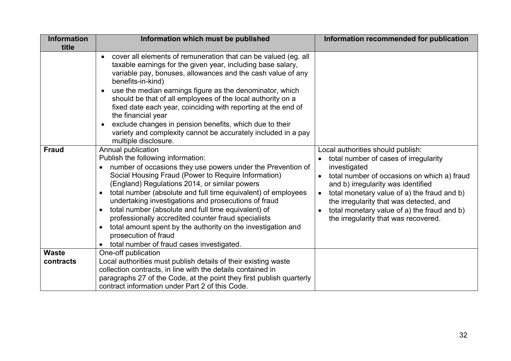| <b>Information</b><br>title | Information which must be published                                                                                                                                                                                                                                                                                                                                                                                                                                                                                                                                                                                                                                                                                                                                                                                                                                                                                                                                                                                                                                                                                                                                                                                                           | Information recommended for publication                                                                                                                                                                                                                                                                                                                                                    |
|-----------------------------|-----------------------------------------------------------------------------------------------------------------------------------------------------------------------------------------------------------------------------------------------------------------------------------------------------------------------------------------------------------------------------------------------------------------------------------------------------------------------------------------------------------------------------------------------------------------------------------------------------------------------------------------------------------------------------------------------------------------------------------------------------------------------------------------------------------------------------------------------------------------------------------------------------------------------------------------------------------------------------------------------------------------------------------------------------------------------------------------------------------------------------------------------------------------------------------------------------------------------------------------------|--------------------------------------------------------------------------------------------------------------------------------------------------------------------------------------------------------------------------------------------------------------------------------------------------------------------------------------------------------------------------------------------|
| <b>Fraud</b>                | cover all elements of remuneration that can be valued (eg. all<br>taxable earnings for the given year, including base salary,<br>variable pay, bonuses, allowances and the cash value of any<br>benefits-in-kind)<br>use the median earnings figure as the denominator, which<br>should be that of all employees of the local authority on a<br>fixed date each year, coinciding with reporting at the end of<br>the financial year<br>exclude changes in pension benefits, which due to their<br>variety and complexity cannot be accurately included in a pay<br>multiple disclosure.<br>Annual publication<br>Publish the following information:<br>number of occasions they use powers under the Prevention of<br>Social Housing Fraud (Power to Require Information)<br>(England) Regulations 2014, or similar powers<br>total number (absolute and full time equivalent) of employees<br>$\bullet$<br>undertaking investigations and prosecutions of fraud<br>total number (absolute and full time equivalent) of<br>$\bullet$<br>professionally accredited counter fraud specialists<br>total amount spent by the authority on the investigation and<br>$\bullet$<br>prosecution of fraud<br>total number of fraud cases investigated. | Local authorities should publish:<br>total number of cases of irregularity<br>investigated<br>total number of occasions on which a) fraud<br>$\bullet$<br>and b) irregularity was identified<br>total monetary value of a) the fraud and b)<br>$\bullet$<br>the irregularity that was detected, and<br>total monetary value of a) the fraud and b)<br>the irregularity that was recovered. |
| <b>Waste</b><br>contracts   | One-off publication<br>Local authorities must publish details of their existing waste                                                                                                                                                                                                                                                                                                                                                                                                                                                                                                                                                                                                                                                                                                                                                                                                                                                                                                                                                                                                                                                                                                                                                         |                                                                                                                                                                                                                                                                                                                                                                                            |
|                             | collection contracts, in line with the details contained in                                                                                                                                                                                                                                                                                                                                                                                                                                                                                                                                                                                                                                                                                                                                                                                                                                                                                                                                                                                                                                                                                                                                                                                   |                                                                                                                                                                                                                                                                                                                                                                                            |
|                             | paragraphs 27 of the Code, at the point they first publish quarterly<br>contract information under Part 2 of this Code.                                                                                                                                                                                                                                                                                                                                                                                                                                                                                                                                                                                                                                                                                                                                                                                                                                                                                                                                                                                                                                                                                                                       |                                                                                                                                                                                                                                                                                                                                                                                            |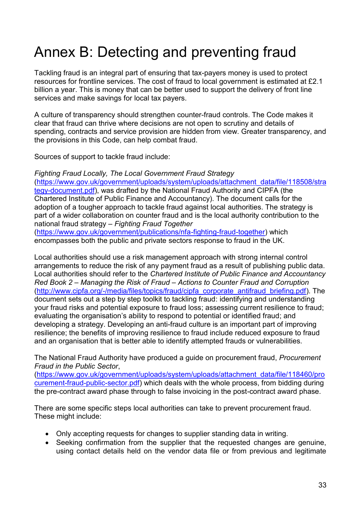# Annex B: Detecting and preventing fraud

Tackling fraud is an integral part of ensuring that tax-payers money is used to protect resources for frontline services. The cost of fraud to local government is estimated at £2.1 billion a year. This is money that can be better used to support the delivery of front line services and make savings for local tax payers.

A culture of transparency should strengthen counter-fraud controls. The Code makes it clear that fraud can thrive where decisions are not open to scrutiny and details of spending, contracts and service provision are hidden from view. Greater transparency, and the provisions in this Code, can help combat fraud.

Sources of support to tackle fraud include:

*Fighting Fraud Locally, The Local Government Fraud Strategy* [\(https://www.gov.uk/government/uploads/system/uploads/attachment\\_data/file/118508/stra](https://www.gov.uk/government/uploads/system/uploads/attachment_data/file/118508/strategy-document.pdf) [tegy-document.pdf\)](https://www.gov.uk/government/uploads/system/uploads/attachment_data/file/118508/strategy-document.pdf), was drafted by the National Fraud Authority and CIPFA (the Chartered Institute of Public Finance and Accountancy). The document calls for the adoption of a tougher approach to tackle fraud against local authorities. The strategy is part of a wider collaboration on counter fraud and is the local authority contribution to the national fraud strategy – *Fighting Fraud Together*

[\(https://www.gov.uk/government/publications/nfa-fighting-fraud-together\)](https://www.gov.uk/government/publications/nfa-fighting-fraud-together) which encompasses both the public and private sectors response to fraud in the UK.

Local authorities should use a risk management approach with strong internal control arrangements to reduce the risk of any payment fraud as a result of publishing public data. Local authorities should refer to the *Chartered Institute of Public Finance and Accountancy Red Book 2 – Managing the Risk of Fraud – Actions to Counter Fraud and Corruption* [\(http://www.cipfa.org/-/media/files/topics/fraud/cipfa\\_corporate\\_antifraud\\_briefing.pdf\)](http://www.cipfa.org/-/media/files/topics/fraud/cipfa_corporate_antifraud_briefing.pdf). The document sets out a step by step toolkit to tackling fraud: identifying and understanding your fraud risks and potential exposure to fraud loss; assessing current resilience to fraud; evaluating the organisation's ability to respond to potential or identified fraud; and developing a strategy. Developing an anti-fraud culture is an important part of improving resilience; the benefits of improving resilience to fraud include reduced exposure to fraud and an organisation that is better able to identify attempted frauds or vulnerabilities.

The National Fraud Authority have produced a guide on procurement fraud, *Procurement Fraud in the Public Sector*,

[\(https://www.gov.uk/government/uploads/system/uploads/attachment\\_data/file/118460/pro](https://www.gov.uk/government/uploads/system/uploads/attachment_data/file/118460/procurement-fraud-public-sector.pdf) [curement-fraud-public-sector.pdf\)](https://www.gov.uk/government/uploads/system/uploads/attachment_data/file/118460/procurement-fraud-public-sector.pdf) which deals with the whole process, from bidding during the pre-contract award phase through to false invoicing in the post-contract award phase.

There are some specific steps local authorities can take to prevent procurement fraud. These might include:

- Only accepting requests for changes to supplier standing data in writing.
- Seeking confirmation from the supplier that the requested changes are genuine, using contact details held on the vendor data file or from previous and legitimate